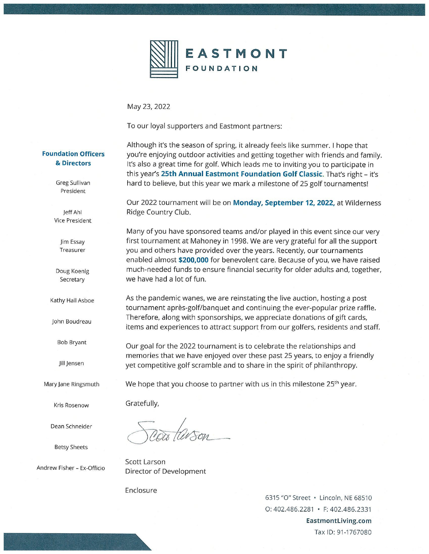

May 23, 2022

To our loyal supporters and Eastmont partners:

### **Foundation Officers** & Directors

Although it's the season of spring, it already feels like summer. I hope that you're enjoying outdoor activities and getting together with friends and family. It's also a great time for golf. Which leads me to inviting you to participate in this year's 25th Annual Eastmont Foundation Golf Classic. That's right - it's hard to believe, but this year we mark a milestone of 25 golf tournaments!

Our 2022 tournament will be on Monday, September 12, 2022, at Wilderness Ridge Country Club.

Many of you have sponsored teams and/or played in this event since our very first tournament at Mahoney in 1998. We are very grateful for all the support you and others have provided over the years. Recently, our tournaments enabled almost \$200,000 for benevolent care. Because of you, we have raised much-needed funds to ensure financial security for older adults and, together, we have had a lot of fun.

As the pandemic wanes, we are reinstating the live auction, hosting a post tournament après-golf/banquet and continuing the ever-popular prize raffle. Therefore, along with sponsorships, we appreciate donations of gift cards, items and experiences to attract support from our golfers, residents and staff.

Our goal for the 2022 tournament is to celebrate the relationships and memories that we have enjoyed over these past 25 years, to enjoy a friendly yet competitive golf scramble and to share in the spirit of philanthropy.

We hope that you choose to partner with us in this milestone 25<sup>th</sup> year.

Gratefully,

Scott Larson Director of Development

Enclosure

6315 "O" Street · Lincoln, NE 68510 O: 402.486.2281 • F: 402.486.2331 EastmontLiving.com Tax ID: 91-1767080

Greg Sullivan President

Jeff Ahl Vice President

> Jim Essay Treasurer

Doug Koenig Secretary

Kathy Hall Asboe

John Boudreau

**Bob Bryant** 

Jill Jensen

Mary Jane Ringsmuth

Kris Rosenow

Dean Schneider

**Betsy Sheets** 

Andrew Fisher - Ex-Officio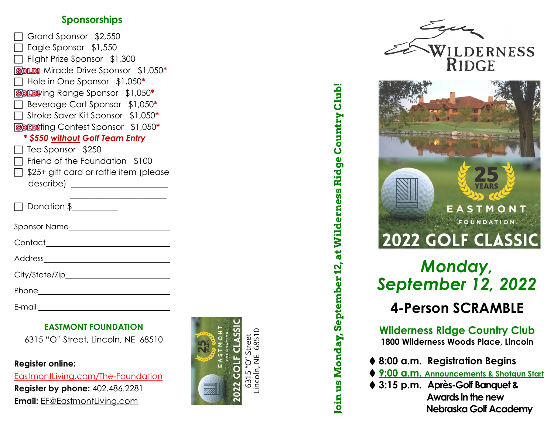## **Sponsorships**

| Grand Sponsor \$2,550                                      |
|------------------------------------------------------------|
| $\Box$ Eagle Sponsor $$1,550$                              |
| □ Flight Prize Sponsor \$1,300                             |
| <b>SOLD!</b> Miracle Drive Sponsor \$1,050*                |
| $\Box$ Hole in One Sponsor $$1,050^*$                      |
| <b>SOLDV</b> ing Range Sponsor \$1,050*                    |
| Beverage Cart Sponsor \$1,050*<br>$\Box$                   |
| $\overline{\phantom{a}}$ Stroke Saver Kit Sponsor \$1,050* |
| <b>SOLDI</b> ting Contest Sponsor \$1,050*                 |
| * \$550 without Golf Team Entry                            |
| $\Box$ Tee Sponsor \$250                                   |
| $\Box$ Friend of the Foundation $$100$                     |
| $\Box$ \$25+ gift card or raffle item (please              |
|                                                            |
|                                                            |
| $\Box$ Donation \$                                         |
| Sponsor Name______________________                         |
| Contact______________________________                      |
|                                                            |
| City/State/Zip__________________________                   |
| Phone_________________________                             |
|                                                            |

E-mail

### **EASTMONT FOUNDATION**

6315 "O" Street, Lincoln, NE 68510

**Register online:** 

EastmontLiving.com/The-Foundation **Register by phone:** 402.486.2281 **Email:** EF@EastmontLiving.com



# **Join us Monday, September 12, at Wilderness Ridge Country Club!**  Join us Monday, September 12, at Wilderness Ridge Country Club!





# *Monday, September 12, 2022*  **4-Person SCRAMBLE**

**Wilderness Ridge Country Club 1800 Wilderness Woods Place, Lincoln**

- **8:00 a.m. Registration Begins**
- **9:00 a.m. Announcements & Shotgun Start**
- **3:15 p.m. Après-Golf Banquet & Awards in the new Nebraska Golf Academy**